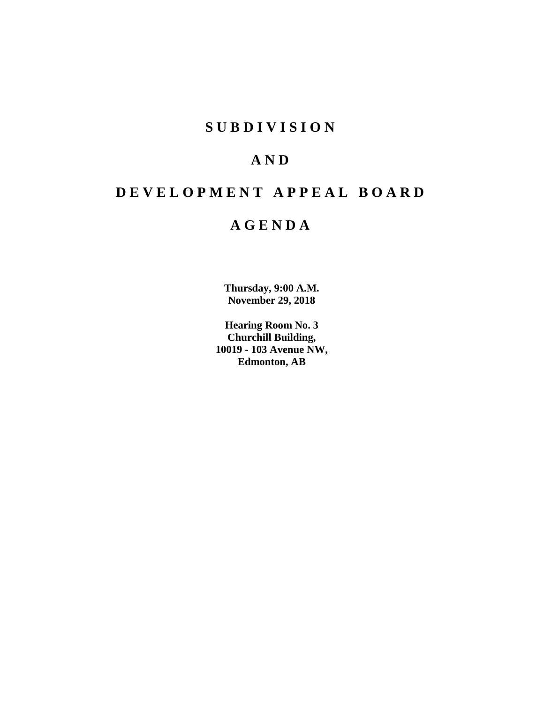## **SUBDIVISION**

## **AND**

## **DEVELOPMENT APPEAL BOARD**

## **AGENDA**

**Thursday, 9:00 A.M. November 29, 2018**

**Hearing Room No. 3 Churchill Building, 10019 - 103 Avenue NW, Edmonton, AB**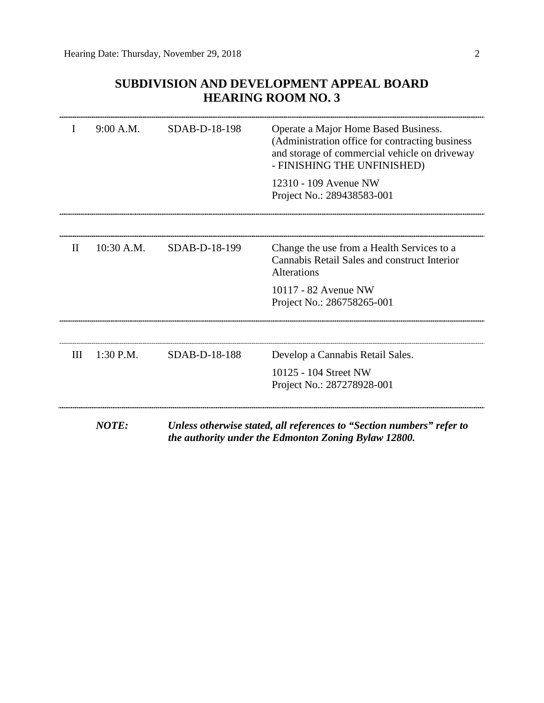### **SUBDIVISION AND DEVELOPMENT APPEAL BOARD HEARING ROOM NO. 3**

|              | 9:00 A.M.    | SDAB-D-18-198 | Operate a Major Home Based Business.<br>(Administration office for contracting business<br>and storage of commercial vehicle on driveway<br>- FINISHING THE UNFINISHED) |
|--------------|--------------|---------------|-------------------------------------------------------------------------------------------------------------------------------------------------------------------------|
|              |              |               | 12310 - 109 Avenue NW<br>Project No.: 289438583-001                                                                                                                     |
|              |              |               |                                                                                                                                                                         |
| $\mathbf{H}$ | 10:30 A.M.   | SDAB-D-18-199 | Change the use from a Health Services to a<br>Cannabis Retail Sales and construct Interior<br><b>Alterations</b>                                                        |
|              |              |               | 10117 - 82 Avenue NW<br>Project No.: 286758265-001                                                                                                                      |
|              |              |               |                                                                                                                                                                         |
| Ш            | 1:30 P.M.    | SDAB-D-18-188 | Develop a Cannabis Retail Sales.                                                                                                                                        |
|              |              |               | 10125 - 104 Street NW<br>Project No.: 287278928-001                                                                                                                     |
|              | <b>NOTE:</b> |               | Unless otherwise stated, all references to "Section numbers" refer to                                                                                                   |

*the authority under the Edmonton Zoning Bylaw 12800.*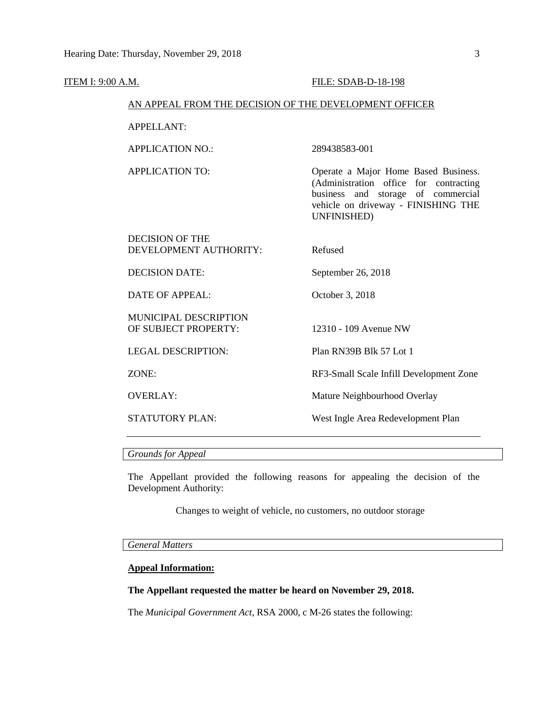| <u>ITEM I: 9:00 A.M.</u> |                                                        | FILE: SDAB-D-18-198                                                                                                                                                        |
|--------------------------|--------------------------------------------------------|----------------------------------------------------------------------------------------------------------------------------------------------------------------------------|
|                          | AN APPEAL FROM THE DECISION OF THE DEVELOPMENT OFFICER |                                                                                                                                                                            |
|                          | <b>APPELLANT:</b>                                      |                                                                                                                                                                            |
|                          | <b>APPLICATION NO.:</b>                                | 289438583-001                                                                                                                                                              |
|                          | <b>APPLICATION TO:</b>                                 | Operate a Major Home Based Business.<br>(Administration office for contracting<br>business and storage of commercial<br>vehicle on driveway - FINISHING THE<br>UNFINISHED) |
|                          | <b>DECISION OF THE</b><br>DEVELOPMENT AUTHORITY:       | Refused                                                                                                                                                                    |
|                          | <b>DECISION DATE:</b>                                  | September 26, 2018                                                                                                                                                         |
|                          | <b>DATE OF APPEAL:</b>                                 | October 3, 2018                                                                                                                                                            |
|                          | MUNICIPAL DESCRIPTION<br>OF SUBJECT PROPERTY:          | 12310 - 109 Avenue NW                                                                                                                                                      |
|                          | <b>LEGAL DESCRIPTION:</b>                              | Plan RN39B Blk 57 Lot 1                                                                                                                                                    |
|                          | ZONE:                                                  | RF3-Small Scale Infill Development Zone                                                                                                                                    |
|                          | <b>OVERLAY:</b>                                        | Mature Neighbourhood Overlay                                                                                                                                               |
|                          | <b>STATUTORY PLAN:</b>                                 | West Ingle Area Redevelopment Plan                                                                                                                                         |
|                          |                                                        |                                                                                                                                                                            |

*Grounds for Appeal*

The Appellant provided the following reasons for appealing the decision of the Development Authority:

Changes to weight of vehicle, no customers, no outdoor storage

*General Matters*

### **Appeal Information:**

#### **The Appellant requested the matter be heard on November 29, 2018.**

The *Municipal Government Act*, RSA 2000, c M-26 states the following: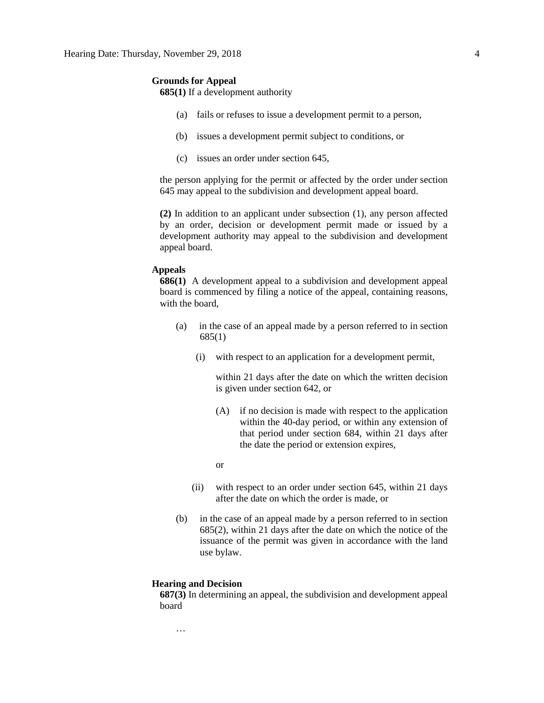#### **Grounds for Appeal**

**685(1)** If a development authority

- (a) fails or refuses to issue a development permit to a person,
- (b) issues a development permit subject to conditions, or
- (c) issues an order under section 645,

the person applying for the permit or affected by the order under section 645 may appeal to the subdivision and development appeal board.

**(2)** In addition to an applicant under subsection (1), any person affected by an order, decision or development permit made or issued by a development authority may appeal to the subdivision and development appeal board.

#### **Appeals**

**686(1)** A development appeal to a subdivision and development appeal board is commenced by filing a notice of the appeal, containing reasons, with the board,

- (a) in the case of an appeal made by a person referred to in section 685(1)
	- (i) with respect to an application for a development permit,

within 21 days after the date on which the written decision is given under section 642, or

- (A) if no decision is made with respect to the application within the 40-day period, or within any extension of that period under section 684, within 21 days after the date the period or extension expires,
- or
- (ii) with respect to an order under section 645, within 21 days after the date on which the order is made, or
- (b) in the case of an appeal made by a person referred to in section 685(2), within 21 days after the date on which the notice of the issuance of the permit was given in accordance with the land use bylaw.

#### **Hearing and Decision**

**687(3)** In determining an appeal, the subdivision and development appeal board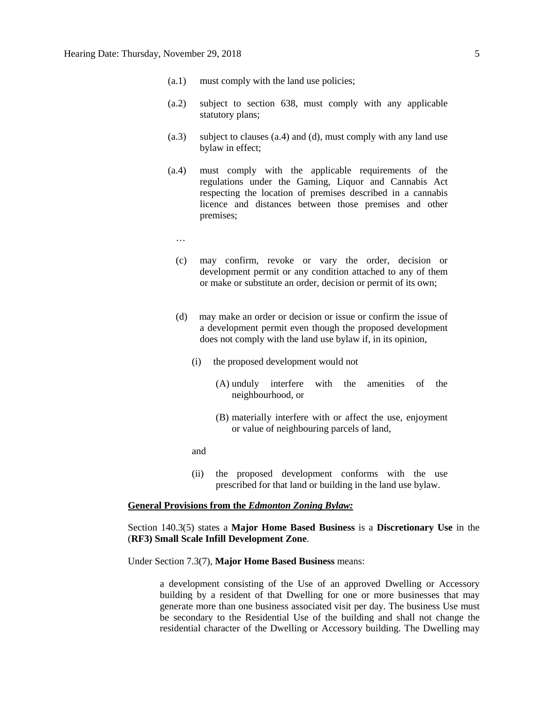- (a.1) must comply with the land use policies;
- (a.2) subject to section 638, must comply with any applicable statutory plans;
- (a.3) subject to clauses (a.4) and (d), must comply with any land use bylaw in effect;
- (a.4) must comply with the applicable requirements of the regulations under the Gaming, Liquor and Cannabis Act respecting the location of premises described in a cannabis licence and distances between those premises and other premises;
	- …
	- (c) may confirm, revoke or vary the order, decision or development permit or any condition attached to any of them or make or substitute an order, decision or permit of its own;
	- (d) may make an order or decision or issue or confirm the issue of a development permit even though the proposed development does not comply with the land use bylaw if, in its opinion,
		- (i) the proposed development would not
			- (A) unduly interfere with the amenities of the neighbourhood, or
			- (B) materially interfere with or affect the use, enjoyment or value of neighbouring parcels of land,
		- and
		- (ii) the proposed development conforms with the use prescribed for that land or building in the land use bylaw.

#### **General Provisions from the** *Edmonton Zoning Bylaw:*

#### Section 140.3(5) states a **Major Home Based Business** is a **Discretionary Use** in the (**RF3) Small Scale Infill Development Zone**.

#### Under Section 7.3(7), **Major Home Based Business** means:

a development consisting of the Use of an approved Dwelling or Accessory building by a resident of that Dwelling for one or more businesses that may generate more than one business associated visit per day. The business Use must be secondary to the Residential Use of the building and shall not change the residential character of the Dwelling or Accessory building. The Dwelling may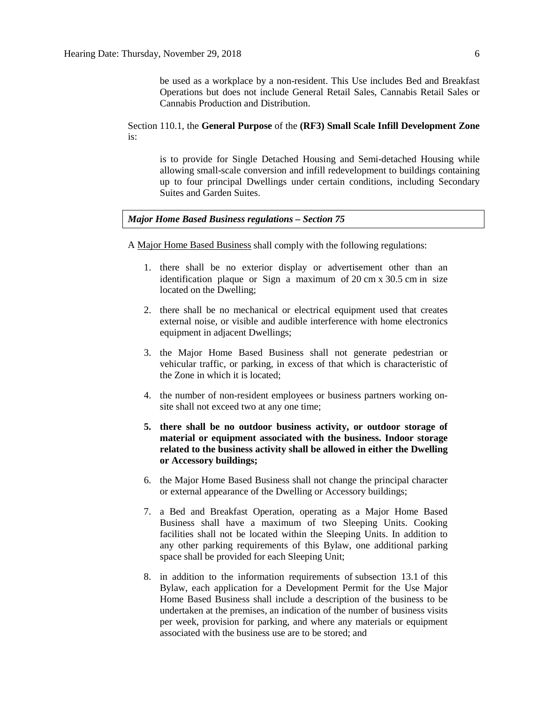be used as a workplace by a non-resident. This Use includes Bed and Breakfast Operations but does not include General Retail Sales, Cannabis Retail Sales or Cannabis Production and Distribution.

#### Section 110.1, the **General Purpose** of the **(RF3) Small Scale Infill Development Zone**  is:

is to provide for Single Detached Housing and Semi-detached Housing while allowing small-scale conversion and infill redevelopment to buildings containing up to four principal Dwellings under certain conditions, including Secondary Suites and Garden Suites.

#### *Major Home Based Business regulations – Section 75*

A [Major Home Based Business](javascript:void(0);) shall comply with the following regulations:

- 1. there shall be no exterior display or advertisement other than an identification plaque or Sign a maximum of 20 [cm](javascript:void(0);) x [30.5](javascript:void(0);) cm in size located on the Dwelling;
- 2. there shall be no mechanical or electrical equipment used that creates external noise, or visible and audible interference with home electronics equipment in adjacent Dwellings;
- 3. the Major Home Based Business shall not generate pedestrian or vehicular traffic, or parking, in excess of that which is characteristic of the Zone in which it is located;
- 4. the number of non-resident employees or business partners working onsite shall not exceed two at any one time;
- **5. there shall be no outdoor business activity, or outdoor storage of material or equipment associated with the business. Indoor storage related to the business activity shall be allowed in either the Dwelling or Accessory buildings;**
- 6. the Major Home Based Business shall not change the principal character or external appearance of the [Dwelling](javascript:void(0);) or [Accessory](javascript:void(0);) buildings;
- 7. a Bed and Breakfast Operation, operating as a Major Home Based Business shall have a maximum of two Sleeping Units. Cooking facilities shall not be located within the Sleeping Units. In addition to any other parking requirements of this Bylaw, one additional parking space shall be provided for each Sleeping Unit;
- 8. in addition to the information requirements of [subsection 13.1](https://webdocs.edmonton.ca/InfraPlan/zoningbylaw/ZoningBylaw/Part1/Administrative/13__Development_Permit_Application.htm) of this Bylaw, each application for a Development Permit for the Use Major Home Based Business shall include a description of the business to be undertaken at the premises, an indication of the number of business visits per week, provision for parking, and where any materials or equipment associated with the business use are to be stored; and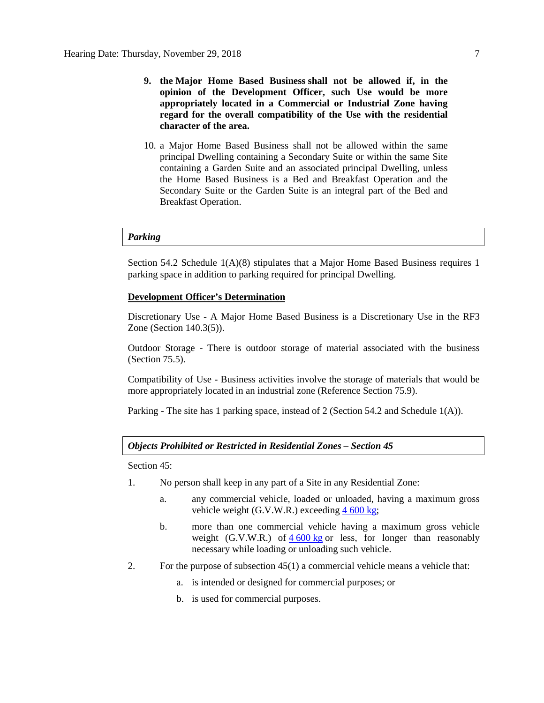- **9. the [Major Home Based Business](javascript:void(0);) shall not be allowed if, in the opinion of the Development Officer, such Use would be more appropriately located in a Commercial or Industrial Zone having regard for the overall compatibility of the Use with the residential character of the area.**
- 10. a Major Home Based Business shall not be allowed within the same principal Dwelling containing a Secondary Suite or within the same Site containing a Garden Suite and an associated principal Dwelling, unless the Home Based Business is a Bed and Breakfast Operation and the Secondary Suite or the Garden Suite is an integral part of the Bed and Breakfast Operation.

#### *Parking*

Section 54.2 Schedule 1(A)(8) stipulates that a Major Home Based Business requires 1 parking space in addition to parking required for principal Dwelling.

#### **Development Officer's Determination**

Discretionary Use - A Major Home Based Business is a Discretionary Use in the RF3 Zone (Section 140.3(5)).

Outdoor Storage - There is outdoor storage of material associated with the business (Section 75.5).

Compatibility of Use - Business activities involve the storage of materials that would be more appropriately located in an industrial zone (Reference Section 75.9).

Parking - The site has 1 parking space, instead of 2 (Section 54.2 and Schedule 1(A)).

#### *Objects Prohibited or Restricted in Residential Zones – Section 45*

Section 45:

- 1. No person shall keep in any part of a Site in any Residential Zone:
	- a. any commercial vehicle, loaded or unloaded, having a maximum gross vehicle weight  $(G.V.W.R.)$  exceeding  $4\,600 \text{ kg}$  $4\,600 \text{ kg}$  $4\,600 \text{ kg}$ ;
	- b. more than one commercial vehicle having a maximum gross vehicle weight  $(G.V.W.R.)$  of  $4,600 kg$  $4,600 kg$  $4,600 kg$  or less, for longer than reasonably necessary while loading or unloading such vehicle.
- 2. For the purpose of subsection 45(1) a commercial vehicle means a vehicle that:
	- a. is intended or designed for commercial purposes; or
	- b. is used for commercial purposes.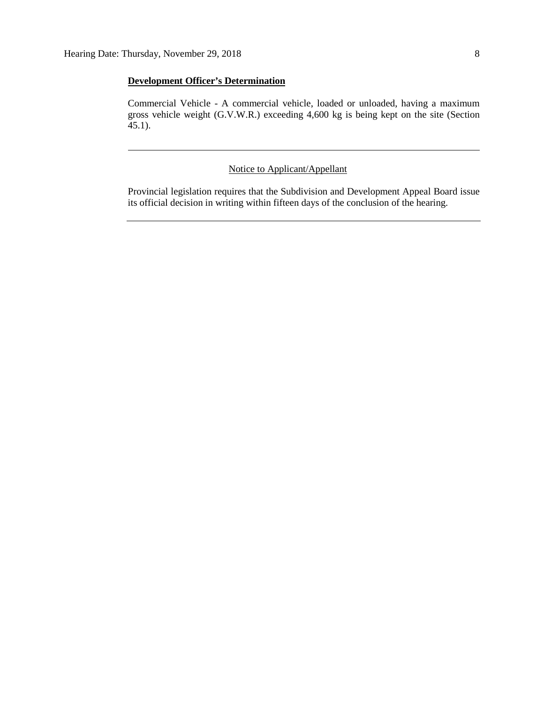#### **Development Officer's Determination**

Commercial Vehicle - A commercial vehicle, loaded or unloaded, having a maximum gross vehicle weight (G.V.W.R.) exceeding 4,600 kg is being kept on the site (Section 45.1).

#### Notice to Applicant/Appellant

Provincial legislation requires that the Subdivision and Development Appeal Board issue its official decision in writing within fifteen days of the conclusion of the hearing.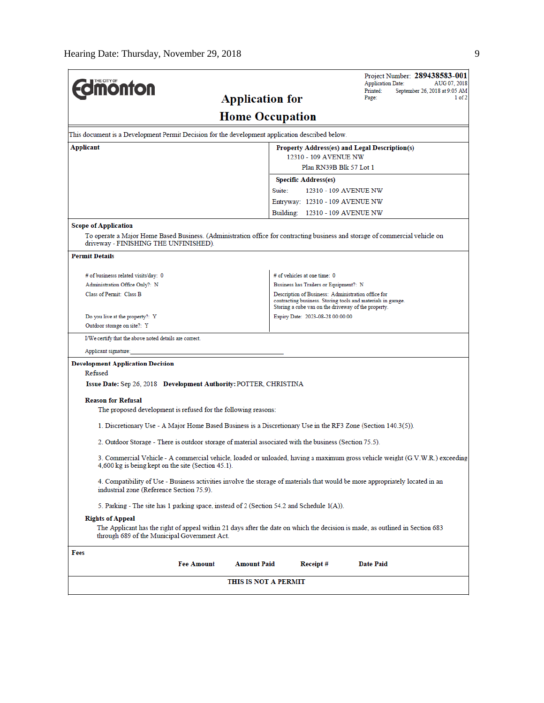| <b>Jmönton</b>                                                                                                                                                        | Project Number: 289438583-001<br><b>Application Date:</b><br>AUG 07, 2018<br>September 26, 2018 at 9:05 AM<br>Printed:        |
|-----------------------------------------------------------------------------------------------------------------------------------------------------------------------|-------------------------------------------------------------------------------------------------------------------------------|
| <b>Application for</b>                                                                                                                                                | Page:<br>1 of 2                                                                                                               |
|                                                                                                                                                                       | <b>Home Occupation</b>                                                                                                        |
| This document is a Development Permit Decision for the development application described below.                                                                       |                                                                                                                               |
| Applicant                                                                                                                                                             | Property Address(es) and Legal Description(s)                                                                                 |
|                                                                                                                                                                       | 12310 - 109 AVENUE NW                                                                                                         |
|                                                                                                                                                                       | Plan RN39B Blk 57 Lot 1                                                                                                       |
|                                                                                                                                                                       | <b>Specific Address(es)</b>                                                                                                   |
|                                                                                                                                                                       | Suite:<br>12310 - 109 AVENUE NW                                                                                               |
|                                                                                                                                                                       | Entryway: 12310 - 109 AVENUE NW                                                                                               |
|                                                                                                                                                                       | Building: 12310 - 109 AVENUE NW                                                                                               |
| <b>Scope of Application</b>                                                                                                                                           |                                                                                                                               |
| To operate a Major Home Based Business. (Administration office for contracting business and storage of commercial vehicle on<br>driveway - FINISHING THE UNFINISHED). |                                                                                                                               |
| <b>Permit Details</b>                                                                                                                                                 |                                                                                                                               |
| # of businesss related visits/day: 0                                                                                                                                  | # of vehicles at one time: 0                                                                                                  |
| Administration Office Only?: N                                                                                                                                        | Business has Trailers or Equipment?: N                                                                                        |
| Class of Permit: Class B                                                                                                                                              | Description of Business: Administration office for                                                                            |
|                                                                                                                                                                       | contracting business. Storing tools and materials in garage.<br>Storing a cube van on the driveway of the property.           |
| Do you live at the property?: Y                                                                                                                                       | Expiry Date: 2023-08-28 00:00:00                                                                                              |
| Outdoor storage on site?: Y                                                                                                                                           |                                                                                                                               |
| I/We certify that the above noted details are correct.                                                                                                                |                                                                                                                               |
| Applicant signature:                                                                                                                                                  |                                                                                                                               |
| <b>Development Application Decision</b>                                                                                                                               |                                                                                                                               |
| Refused                                                                                                                                                               |                                                                                                                               |
| Issue Date: Sep 26, 2018 Development Authority: POTTER, CHRISTINA                                                                                                     |                                                                                                                               |
| <b>Reason for Refusal</b>                                                                                                                                             |                                                                                                                               |
| The proposed development is refused for the following reasons:                                                                                                        |                                                                                                                               |
| 1. Discretionary Use - A Major Home Based Business is a Discretionary Use in the RF3 Zone (Section 140.3(5)).                                                         |                                                                                                                               |
|                                                                                                                                                                       |                                                                                                                               |
| 2. Outdoor Storage - There is outdoor storage of material associated with the business (Section 75.5).                                                                |                                                                                                                               |
| 4,600 kg is being kept on the site (Section 45.1).                                                                                                                    | 3. Commercial Vehicle - A commercial vehicle, loaded or unloaded, having a maximum gross vehicle weight (G.V.W.R.) exceeding  |
| industrial zone (Reference Section 75.9).                                                                                                                             | 4. Compatibility of Use - Business activities involve the storage of materials that would be more appropriately located in an |
| 5. Parking - The site has 1 parking space, instead of 2 (Section 54.2 and Schedule 1(A)).                                                                             |                                                                                                                               |
| <b>Rights of Appeal</b>                                                                                                                                               |                                                                                                                               |
| through 689 of the Municipal Government Act.                                                                                                                          | The Applicant has the right of appeal within 21 days after the date on which the decision is made, as outlined in Section 683 |
| Fees                                                                                                                                                                  |                                                                                                                               |
| <b>Fee Amount</b><br><b>Amount Paid</b>                                                                                                                               | <b>Date Paid</b><br>Receipt#                                                                                                  |
|                                                                                                                                                                       |                                                                                                                               |
| THIS IS NOT A PERMIT                                                                                                                                                  |                                                                                                                               |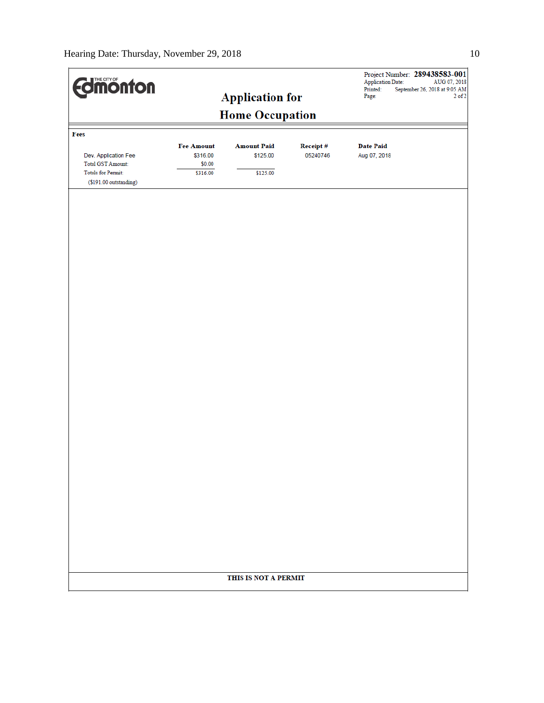| <b>Edinonton</b>                                                                                        |                                                     | <b>Application for</b>                     |                      | Project Number: 289438583-001<br>Application Date:<br>AUG 07, 2018<br>Printed:<br>September 26, 2018 at 9:05 AM<br>$2$ of $2$<br>Page: |
|---------------------------------------------------------------------------------------------------------|-----------------------------------------------------|--------------------------------------------|----------------------|----------------------------------------------------------------------------------------------------------------------------------------|
|                                                                                                         |                                                     | <b>Home Occupation</b>                     |                      |                                                                                                                                        |
| Fees                                                                                                    |                                                     |                                            |                      |                                                                                                                                        |
| Dev. Application Fee<br><b>Total GST Amount:</b><br><b>Totals for Permit:</b><br>(\$191.00 outstanding) | <b>Fee Amount</b><br>\$316.00<br>\$0.00<br>\$316.00 | <b>Amount Paid</b><br>\$125.00<br>\$125.00 | Receipt#<br>05240746 | <b>Date Paid</b><br>Aug 07, 2018                                                                                                       |
|                                                                                                         |                                                     |                                            |                      |                                                                                                                                        |
|                                                                                                         |                                                     |                                            |                      |                                                                                                                                        |
|                                                                                                         |                                                     |                                            |                      |                                                                                                                                        |
|                                                                                                         |                                                     |                                            |                      |                                                                                                                                        |
|                                                                                                         |                                                     |                                            |                      |                                                                                                                                        |
|                                                                                                         |                                                     |                                            |                      |                                                                                                                                        |
|                                                                                                         |                                                     |                                            |                      |                                                                                                                                        |
|                                                                                                         |                                                     |                                            |                      |                                                                                                                                        |
|                                                                                                         |                                                     |                                            |                      |                                                                                                                                        |
|                                                                                                         |                                                     |                                            |                      |                                                                                                                                        |
|                                                                                                         |                                                     | THIS IS NOT A PERMIT                       |                      |                                                                                                                                        |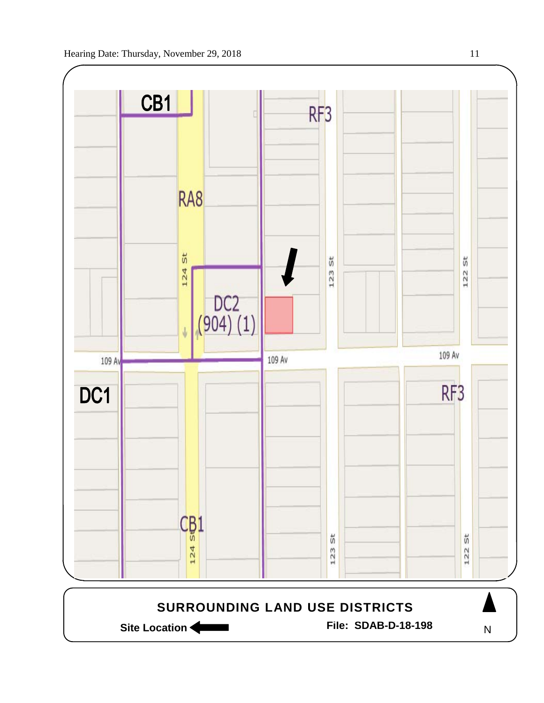

Site Location **Community Contracts** File: SDAB-D-18-198

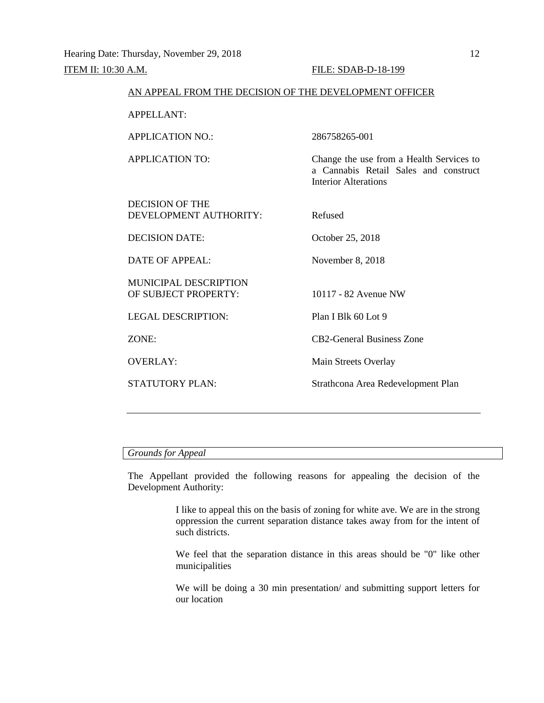# **ITEM II:** 10:30 A.M. **FILE:** SDAB-D-18-199 AN APPEAL FROM THE DECISION OF THE DEVELOPMENT OFFICER APPELLANT: APPLICATION NO.: 286758265-001 APPLICATION TO: Change the use from a Health Services to a Cannabis Retail Sales and construct Interior Alterations DECISION OF THE DEVELOPMENT AUTHORITY: Refused DECISION DATE: October 25, 2018 DATE OF APPEAL: November 8, 2018 MUNICIPAL DESCRIPTION OF SUBJECT PROPERTY: 10117 - 82 Avenue NW LEGAL DESCRIPTION: Plan I Blk 60 Lot 9 ZONE: CB2-General Business Zone OVERLAY: Main Streets Overlay STATUTORY PLAN: Strathcona Area Redevelopment Plan

#### *Grounds for Appeal*

The Appellant provided the following reasons for appealing the decision of the Development Authority:

> I like to appeal this on the basis of zoning for white ave. We are in the strong oppression the current separation distance takes away from for the intent of such districts.

> We feel that the separation distance in this areas should be "0" like other municipalities

> We will be doing a 30 min presentation/ and submitting support letters for our location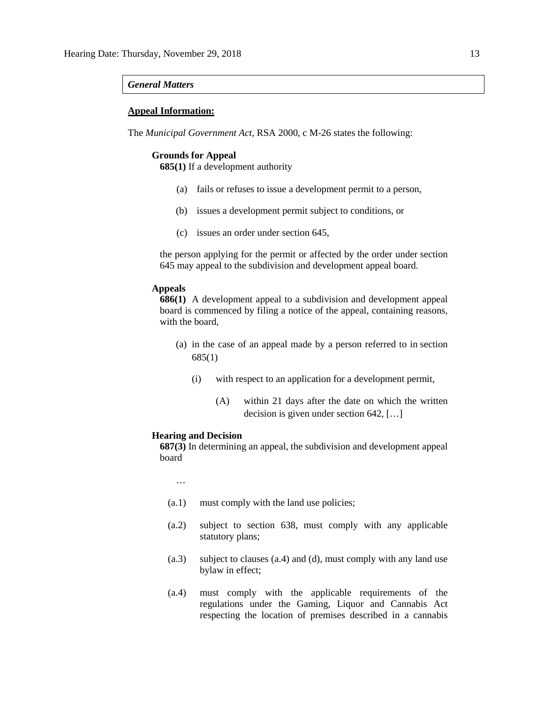#### *General Matters*

#### **Appeal Information:**

The *Municipal Government Act*, RSA 2000, c M-26 states the following:

#### **Grounds for Appeal**

**685(1)** If a development authority

- (a) fails or refuses to issue a development permit to a person,
- (b) issues a development permit subject to conditions, or
- (c) issues an order under section 645,

the person applying for the permit or affected by the order under section 645 may appeal to the subdivision and development appeal board.

#### **Appeals**

**686(1)** A development appeal to a subdivision and development appeal board is commenced by filing a notice of the appeal, containing reasons, with the board,

- (a) in the case of an appeal made by a person referred to in section 685(1)
	- (i) with respect to an application for a development permit,
		- (A) within 21 days after the date on which the written decision is given under section 642, […]

#### **Hearing and Decision**

**687(3)** In determining an appeal, the subdivision and development appeal board

…

- (a.1) must comply with the land use policies;
- (a.2) subject to section 638, must comply with any applicable statutory plans;
- (a.3) subject to clauses (a.4) and (d), must comply with any land use bylaw in effect;
- (a.4) must comply with the applicable requirements of the regulations under the Gaming, Liquor and Cannabis Act respecting the location of premises described in a cannabis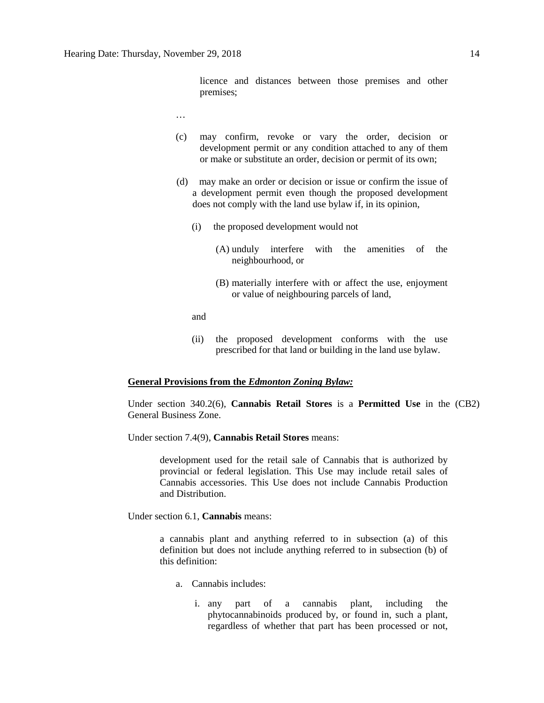licence and distances between those premises and other premises;

- …
- (c) may confirm, revoke or vary the order, decision or development permit or any condition attached to any of them or make or substitute an order, decision or permit of its own;
- (d) may make an order or decision or issue or confirm the issue of a development permit even though the proposed development does not comply with the land use bylaw if, in its opinion,
	- (i) the proposed development would not
		- (A) unduly interfere with the amenities of the neighbourhood, or
		- (B) materially interfere with or affect the use, enjoyment or value of neighbouring parcels of land,

and

(ii) the proposed development conforms with the use prescribed for that land or building in the land use bylaw.

#### **General Provisions from the** *Edmonton Zoning Bylaw:*

Under section 340.2(6), **Cannabis Retail Stores** is a **Permitted Use** in the (CB2) General Business Zone.

Under section 7.4(9), **Cannabis Retail Stores** means:

development used for the retail sale of Cannabis that is authorized by provincial or federal legislation. This Use may include retail sales of Cannabis accessories. This Use does not include Cannabis Production and Distribution.

Under section 6.1, **Cannabis** means:

a cannabis plant and anything referred to in subsection (a) of this definition but does not include anything referred to in subsection (b) of this definition:

- a. Cannabis includes:
	- i. any part of a cannabis plant, including the phytocannabinoids produced by, or found in, such a plant, regardless of whether that part has been processed or not,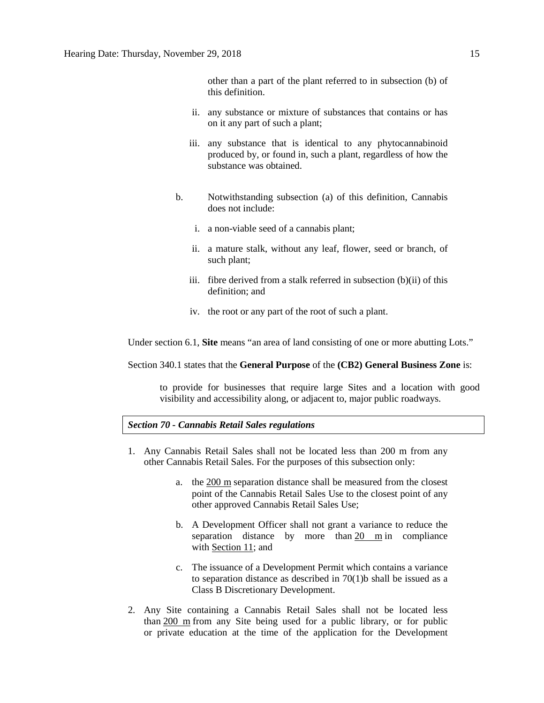other than a part of the plant referred to in subsection (b) of this definition.

- ii. any substance or mixture of substances that contains or has on it any part of such a plant;
- iii. any substance that is identical to any phytocannabinoid produced by, or found in, such a plant, regardless of how the substance was obtained.
- b. Notwithstanding subsection (a) of this definition, Cannabis does not include:
	- i. a non-viable seed of a cannabis plant;
	- ii. a mature stalk, without any leaf, flower, seed or branch, of such plant;
	- iii. fibre derived from a stalk referred in subsection (b)(ii) of this definition; and
	- iv. the root or any part of the root of such a plant.

Under section 6.1, **Site** means "an area of land consisting of one or more abutting Lots."

Section 340.1 states that the **General Purpose** of the **(CB2) General Business Zone** is:

to provide for businesses that require large Sites and a location with good visibility and accessibility along, or adjacent to, major public roadways.

#### *Section 70 - Cannabis Retail Sales regulations*

- 1. Any Cannabis Retail Sales shall not be located less than 200 m from any other Cannabis Retail Sales. For the purposes of this subsection only:
	- a. the [200 m](javascript:void(0);) separation distance shall be measured from the closest point of the Cannabis Retail Sales Use to the closest point of any other approved Cannabis Retail Sales Use;
	- b. A Development Officer shall not grant a variance to reduce the separation distance by more than [20 m](javascript:void(0);) in compliance with [Section 11;](https://webdocs.edmonton.ca/InfraPlan/zoningbylaw/ZoningBylaw/Part1/Administrative/11__Authority_and_Responsibility_of_the_Development_Officer.htm) and
	- c. The issuance of a Development Permit which contains a variance to separation distance as described in 70(1)b shall be issued as a Class B Discretionary Development.
- 2. Any Site containing a Cannabis Retail Sales shall not be located less than [200 m](javascript:void(0);) from any Site being used for a public library, or for public or private education at the time of the application for the Development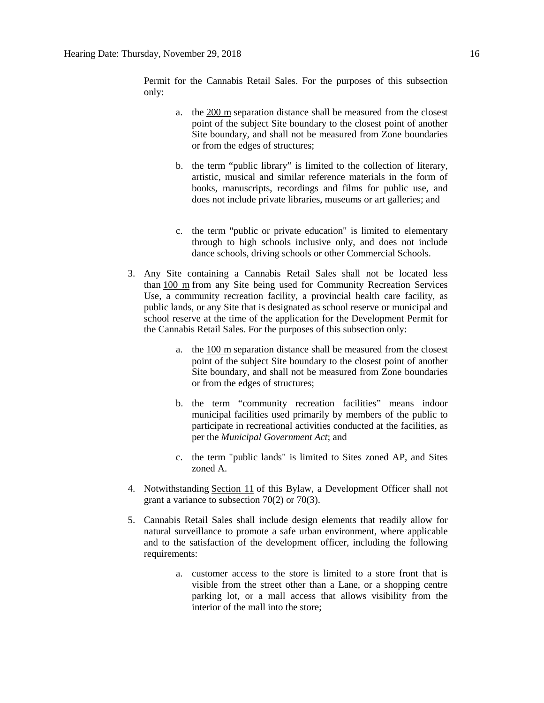Permit for the Cannabis Retail Sales. For the purposes of this subsection only:

- a. the [200 m](javascript:void(0);) separation distance shall be measured from the closest point of the subject Site boundary to the closest point of another Site boundary, and shall not be measured from Zone boundaries or from the edges of structures;
- b. the term "public library" is limited to the collection of literary, artistic, musical and similar reference materials in the form of books, manuscripts, recordings and films for public use, and does not include private libraries, museums or art galleries; and
- c. the term "public or private education" is limited to elementary through to high schools inclusive only, and does not include dance schools, driving schools or other Commercial Schools.
- 3. Any Site containing a Cannabis Retail Sales shall not be located less than [100 m](javascript:void(0);) from any Site being used for Community Recreation Services Use, a community recreation facility, a provincial health care facility, as public lands, or any Site that is designated as school reserve or municipal and school reserve at the time of the application for the Development Permit for the Cannabis Retail Sales. For the purposes of this subsection only:
	- a. the [100 m](javascript:void(0);) separation distance shall be measured from the closest point of the subject Site boundary to the closest point of another Site boundary, and shall not be measured from Zone boundaries or from the edges of structures;
	- b. the term "community recreation facilities" means indoor municipal facilities used primarily by members of the public to participate in recreational activities conducted at the facilities, as per the *Municipal Government Act*; and
	- c. the term "public lands" is limited to Sites zoned AP, and Sites zoned A.
- 4. Notwithstanding [Section 11](https://webdocs.edmonton.ca/InfraPlan/zoningbylaw/ZoningBylaw/Part1/Administrative/11__Authority_and_Responsibility_of_the_Development_Officer.htm) of this Bylaw, a Development Officer shall not grant a variance to subsection 70(2) or 70(3).
- 5. Cannabis Retail Sales shall include design elements that readily allow for natural surveillance to promote a safe urban environment, where applicable and to the satisfaction of the development officer, including the following requirements:
	- a. customer access to the store is limited to a store front that is visible from the street other than a Lane, or a shopping centre parking lot, or a mall access that allows visibility from the interior of the mall into the store;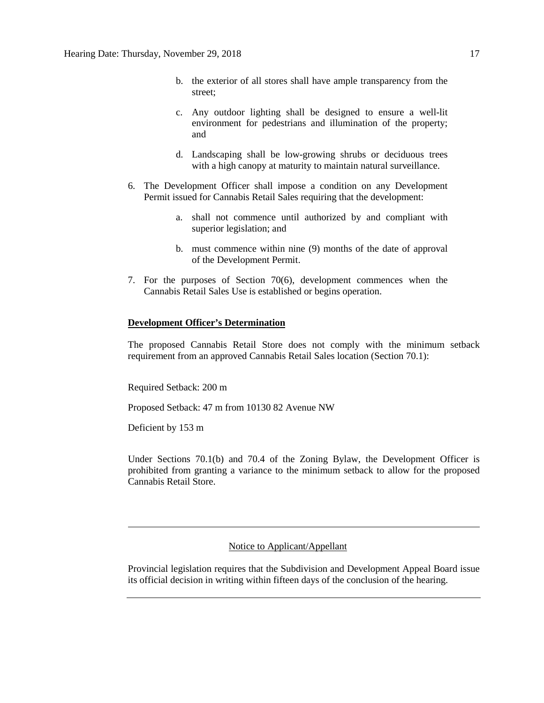- b. the exterior of all stores shall have ample transparency from the street;
- c. Any outdoor lighting shall be designed to ensure a well-lit environment for pedestrians and illumination of the property; and
- d. Landscaping shall be low-growing shrubs or deciduous trees with a high canopy at maturity to maintain natural surveillance.
- 6. The Development Officer shall impose a condition on any Development Permit issued for Cannabis Retail Sales requiring that the development:
	- a. shall not commence until authorized by and compliant with superior legislation; and
	- b. must commence within nine (9) months of the date of approval of the Development Permit.
- 7. For the purposes of Section 70(6), development commences when the Cannabis Retail Sales Use is established or begins operation.

#### **Development Officer's Determination**

The proposed Cannabis Retail Store does not comply with the minimum setback requirement from an approved Cannabis Retail Sales location (Section 70.1):

Required Setback: 200 m

Proposed Setback: 47 m from 10130 82 Avenue NW

Deficient by 153 m

Under Sections 70.1(b) and 70.4 of the Zoning Bylaw, the Development Officer is prohibited from granting a variance to the minimum setback to allow for the proposed Cannabis Retail Store.

#### Notice to Applicant/Appellant

Provincial legislation requires that the Subdivision and Development Appeal Board issue its official decision in writing within fifteen days of the conclusion of the hearing.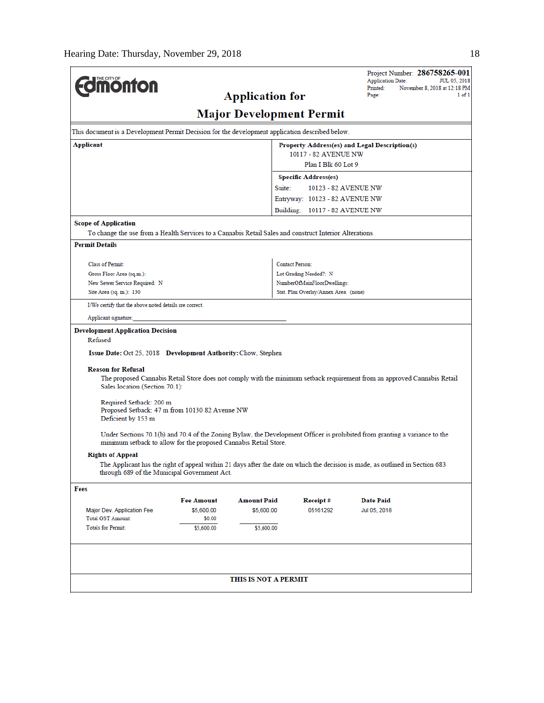|                                                                                                                                                                                                |                   |                                 |                                       | <b>Application Date:</b> | Project Number: 286758265-001<br><b>JUL 05, 2018</b> |
|------------------------------------------------------------------------------------------------------------------------------------------------------------------------------------------------|-------------------|---------------------------------|---------------------------------------|--------------------------|------------------------------------------------------|
| <b>Imonton</b>                                                                                                                                                                                 |                   |                                 |                                       | Printed:                 | November 8, 2018 at 12:18 PM                         |
|                                                                                                                                                                                                |                   | <b>Application for</b>          |                                       | Page:                    | 1 of 1                                               |
|                                                                                                                                                                                                |                   | <b>Major Development Permit</b> |                                       |                          |                                                      |
| This document is a Development Permit Decision for the development application described below.                                                                                                |                   |                                 |                                       |                          |                                                      |
| Applicant<br>Property Address(es) and Legal Description(s)                                                                                                                                     |                   |                                 |                                       |                          |                                                      |
| 10117 - 82 AVENUE NW                                                                                                                                                                           |                   |                                 |                                       |                          |                                                      |
|                                                                                                                                                                                                |                   |                                 | Plan I Blk 60 Lot 9                   |                          |                                                      |
|                                                                                                                                                                                                |                   |                                 | <b>Specific Address(es)</b>           |                          |                                                      |
|                                                                                                                                                                                                |                   | Suite:                          |                                       | 10123 - 82 AVENUE NW     |                                                      |
|                                                                                                                                                                                                |                   |                                 | Entryway: 10123 - 82 AVENUE NW        |                          |                                                      |
|                                                                                                                                                                                                |                   |                                 | Building: 10117 - 82 AVENUE NW        |                          |                                                      |
| <b>Scope of Application</b>                                                                                                                                                                    |                   |                                 |                                       |                          |                                                      |
| To change the use from a Health Services to a Cannabis Retail Sales and construct Interior Alterations                                                                                         |                   |                                 |                                       |                          |                                                      |
| <b>Permit Details</b>                                                                                                                                                                          |                   |                                 |                                       |                          |                                                      |
|                                                                                                                                                                                                |                   |                                 | <b>Contact Person:</b>                |                          |                                                      |
| Class of Permit:<br>Gross Floor Area (sq.m.):                                                                                                                                                  |                   |                                 | Lot Grading Needed?: N                |                          |                                                      |
| New Sewer Service Required: N                                                                                                                                                                  |                   |                                 | NumberOfMainFloorDwellings:           |                          |                                                      |
| Site Area (sq. m.): 130                                                                                                                                                                        |                   |                                 | Stat. Plan Overlay/Annex Area: (none) |                          |                                                      |
| I/We certify that the above noted details are correct.                                                                                                                                         |                   |                                 |                                       |                          |                                                      |
|                                                                                                                                                                                                |                   |                                 |                                       |                          |                                                      |
| Applicant signature:                                                                                                                                                                           |                   |                                 |                                       |                          |                                                      |
| <b>Development Application Decision</b><br>Refused                                                                                                                                             |                   |                                 |                                       |                          |                                                      |
| Issue Date: Oct 25, 2018 Development Authority: Chow, Stephen                                                                                                                                  |                   |                                 |                                       |                          |                                                      |
|                                                                                                                                                                                                |                   |                                 |                                       |                          |                                                      |
| <b>Reason for Refusal</b><br>The proposed Cannabis Retail Store does not comply with the minimum setback requirement from an approved Cannabis Retail                                          |                   |                                 |                                       |                          |                                                      |
| Sales location (Section 70.1):                                                                                                                                                                 |                   |                                 |                                       |                          |                                                      |
| Required Setback: 200 m                                                                                                                                                                        |                   |                                 |                                       |                          |                                                      |
| Proposed Setback: 47 m from 10130 82 Avenue NW                                                                                                                                                 |                   |                                 |                                       |                          |                                                      |
| Deficient by 153 m                                                                                                                                                                             |                   |                                 |                                       |                          |                                                      |
| Under Sections 70.1(b) and 70.4 of the Zoning Bylaw, the Development Officer is prohibited from granting a variance to the<br>minimum setback to allow for the proposed Cannabis Retail Store. |                   |                                 |                                       |                          |                                                      |
| <b>Rights of Appeal</b>                                                                                                                                                                        |                   |                                 |                                       |                          |                                                      |
| The Applicant has the right of appeal within 21 days after the date on which the decision is made, as outlined in Section 683                                                                  |                   |                                 |                                       |                          |                                                      |
| through 689 of the Municipal Government Act.                                                                                                                                                   |                   |                                 |                                       |                          |                                                      |
| Fees                                                                                                                                                                                           |                   |                                 |                                       |                          |                                                      |
|                                                                                                                                                                                                | <b>Fee Amount</b> | <b>Amount Paid</b>              | Receipt#                              | Date Paid                |                                                      |
| Major Dev. Application Fee                                                                                                                                                                     | \$5,600.00        | \$5,600.00                      | 05161292                              | Jul 05, 2018             |                                                      |
| <b>Total GST Amount:</b>                                                                                                                                                                       | \$0.00            |                                 |                                       |                          |                                                      |
| <b>Totals for Permit:</b>                                                                                                                                                                      | \$5,600.00        | \$5,600.00                      |                                       |                          |                                                      |
|                                                                                                                                                                                                |                   |                                 |                                       |                          |                                                      |
|                                                                                                                                                                                                |                   |                                 |                                       |                          |                                                      |
|                                                                                                                                                                                                |                   | THIS IS NOT A PERMIT            |                                       |                          |                                                      |
|                                                                                                                                                                                                |                   |                                 |                                       |                          |                                                      |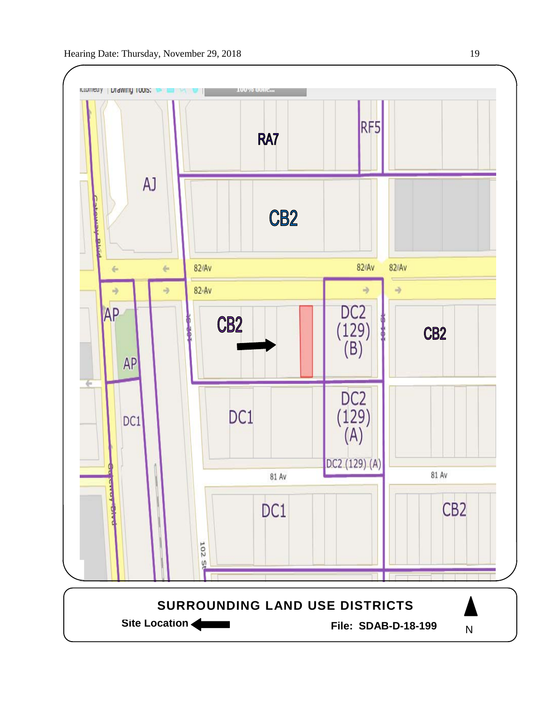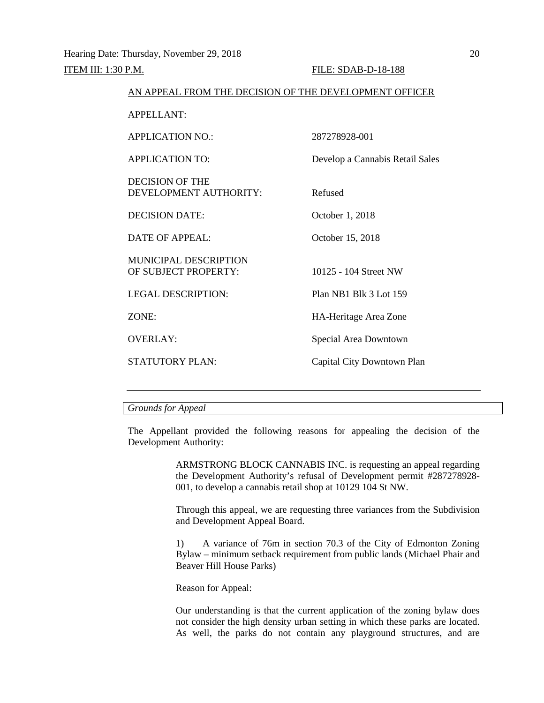## ITEM III: 1:30 P.M. FILE: SDAB-D-18-188 AN APPEAL FROM THE DECISION OF THE DEVELOPMENT OFFICER APPELLANT: APPLICATION NO.: 287278928-001 APPLICATION TO: Develop a Cannabis Retail Sales DECISION OF THE DEVELOPMENT AUTHORITY: Refused DECISION DATE: October 1, 2018 DATE OF APPEAL: October 15, 2018 MUNICIPAL DESCRIPTION OF SUBJECT PROPERTY: 10125 - 104 Street NW LEGAL DESCRIPTION: Plan NB1 Blk 3 Lot 159 ZONE: HA-Heritage Area Zone OVERLAY: Special Area Downtown STATUTORY PLAN: Capital City Downtown Plan

*Grounds for Appeal*

The Appellant provided the following reasons for appealing the decision of the Development Authority:

> ARMSTRONG BLOCK CANNABIS INC. is requesting an appeal regarding the Development Authority's refusal of Development permit #287278928- 001, to develop a cannabis retail shop at 10129 104 St NW.

> Through this appeal, we are requesting three variances from the Subdivision and Development Appeal Board.

> 1) A variance of 76m in section 70.3 of the City of Edmonton Zoning Bylaw – minimum setback requirement from public lands (Michael Phair and Beaver Hill House Parks)

Reason for Appeal:

Our understanding is that the current application of the zoning bylaw does not consider the high density urban setting in which these parks are located. As well, the parks do not contain any playground structures, and are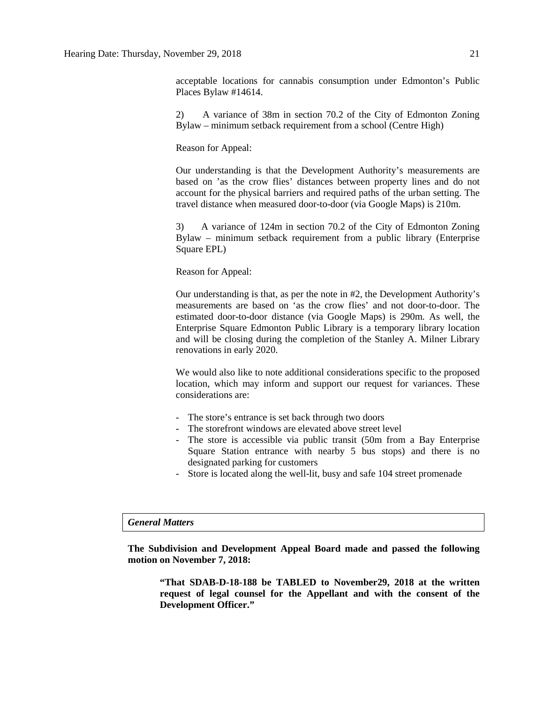acceptable locations for cannabis consumption under Edmonton's Public Places Bylaw #14614.

2) A variance of 38m in section 70.2 of the City of Edmonton Zoning Bylaw – minimum setback requirement from a school (Centre High)

Reason for Appeal:

Our understanding is that the Development Authority's measurements are based on 'as the crow flies' distances between property lines and do not account for the physical barriers and required paths of the urban setting. The travel distance when measured door-to-door (via Google Maps) is 210m.

3) A variance of 124m in section 70.2 of the City of Edmonton Zoning Bylaw – minimum setback requirement from a public library (Enterprise Square EPL)

Reason for Appeal:

Our understanding is that, as per the note in #2, the Development Authority's measurements are based on 'as the crow flies' and not door-to-door. The estimated door-to-door distance (via Google Maps) is 290m. As well, the Enterprise Square Edmonton Public Library is a temporary library location and will be closing during the completion of the Stanley A. Milner Library renovations in early 2020.

We would also like to note additional considerations specific to the proposed location, which may inform and support our request for variances. These considerations are:

- The store's entrance is set back through two doors
- The storefront windows are elevated above street level
- The store is accessible via public transit (50m from a Bay Enterprise Square Station entrance with nearby 5 bus stops) and there is no designated parking for customers
- Store is located along the well-lit, busy and safe 104 street promenade

#### *General Matters*

**The Subdivision and Development Appeal Board made and passed the following motion on November 7, 2018:**

**"That SDAB-D-18-188 be TABLED to November29, 2018 at the written request of legal counsel for the Appellant and with the consent of the Development Officer."**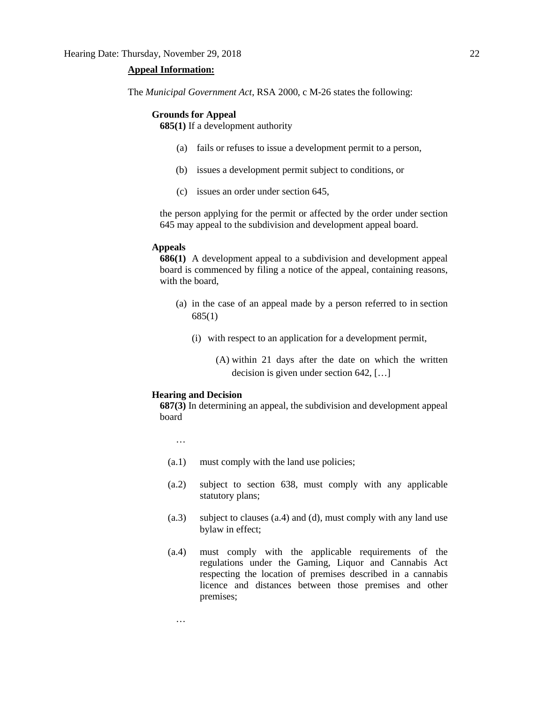#### **Appeal Information:**

The *Municipal Government Act*, RSA 2000, c M-26 states the following:

#### **Grounds for Appeal**

**685(1)** If a development authority

- (a) fails or refuses to issue a development permit to a person,
- (b) issues a development permit subject to conditions, or
- (c) issues an order under section 645,

the person applying for the permit or affected by the order under section 645 may appeal to the subdivision and development appeal board.

#### **Appeals**

**686(1)** A development appeal to a subdivision and development appeal board is commenced by filing a notice of the appeal, containing reasons, with the board,

- (a) in the case of an appeal made by a person referred to in section 685(1)
	- (i) with respect to an application for a development permit,
		- (A) within 21 days after the date on which the written decision is given under section 642, […]

#### **Hearing and Decision**

**687(3)** In determining an appeal, the subdivision and development appeal board

…

…

- (a.1) must comply with the land use policies;
- (a.2) subject to section 638, must comply with any applicable statutory plans;
- (a.3) subject to clauses (a.4) and (d), must comply with any land use bylaw in effect;
- (a.4) must comply with the applicable requirements of the regulations under the Gaming, Liquor and Cannabis Act respecting the location of premises described in a cannabis licence and distances between those premises and other premises;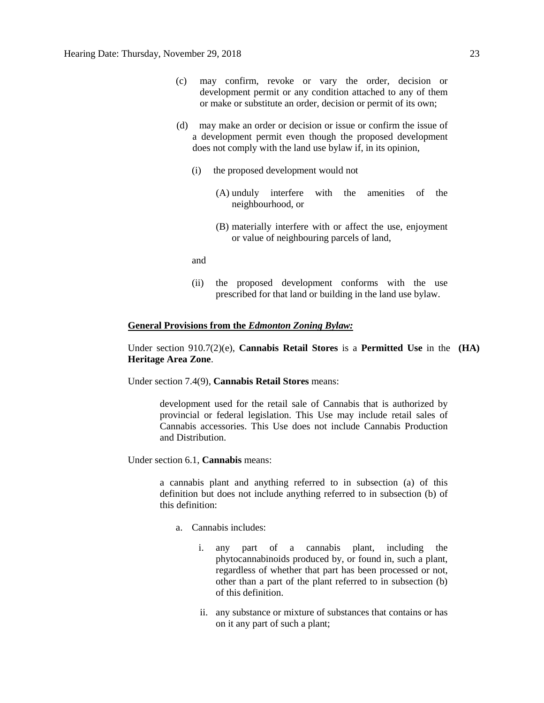- (c) may confirm, revoke or vary the order, decision or development permit or any condition attached to any of them or make or substitute an order, decision or permit of its own;
- (d) may make an order or decision or issue or confirm the issue of a development permit even though the proposed development does not comply with the land use bylaw if, in its opinion,
	- (i) the proposed development would not
		- (A) unduly interfere with the amenities of the neighbourhood, or
		- (B) materially interfere with or affect the use, enjoyment or value of neighbouring parcels of land,

and

(ii) the proposed development conforms with the use prescribed for that land or building in the land use bylaw.

#### **General Provisions from the** *Edmonton Zoning Bylaw:*

Under section 910.7(2)(e), **Cannabis Retail Stores** is a **Permitted Use** in the **(HA) Heritage Area Zone**.

Under section 7.4(9), **Cannabis Retail Stores** means:

development used for the retail sale of Cannabis that is authorized by provincial or federal legislation. This Use may include retail sales of Cannabis accessories. This Use does not include Cannabis Production and Distribution.

Under section 6.1, **Cannabis** means:

a cannabis plant and anything referred to in subsection (a) of this definition but does not include anything referred to in subsection (b) of this definition:

- a. Cannabis includes:
	- i. any part of a cannabis plant, including the phytocannabinoids produced by, or found in, such a plant, regardless of whether that part has been processed or not, other than a part of the plant referred to in subsection (b) of this definition.
	- ii. any substance or mixture of substances that contains or has on it any part of such a plant;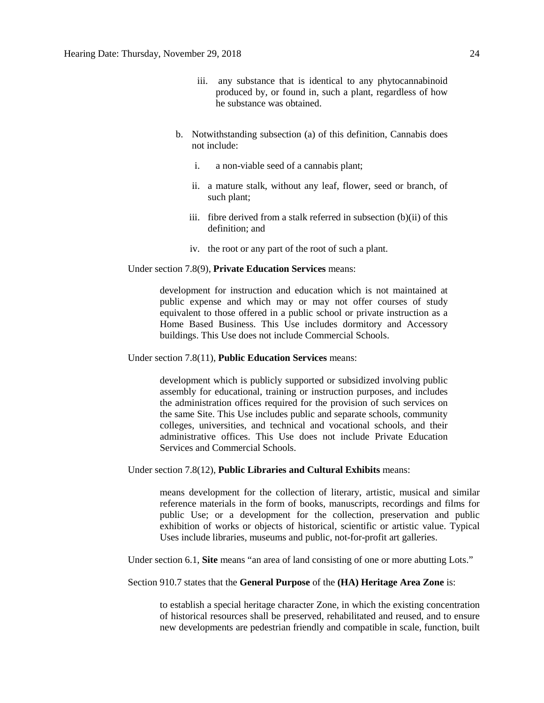- iii. any substance that is identical to any phytocannabinoid produced by, or found in, such a plant, regardless of how he substance was obtained.
- b. Notwithstanding subsection (a) of this definition, Cannabis does not include:
	- i. a non-viable seed of a cannabis plant;
	- ii. a mature stalk, without any leaf, flower, seed or branch, of such plant;
	- iii. fibre derived from a stalk referred in subsection (b)(ii) of this definition; and
	- iv. the root or any part of the root of such a plant.

Under section 7.8(9), **Private Education Services** means:

development for instruction and education which is not maintained at public expense and which may or may not offer courses of study equivalent to those offered in a public school or private instruction as a Home Based Business. This Use includes dormitory and Accessory buildings. This Use does not include Commercial Schools.

Under section 7.8(11), **Public Education Services** means:

development which is publicly supported or subsidized involving public assembly for educational, training or instruction purposes, and includes the administration offices required for the provision of such services on the same Site. This Use includes public and separate schools, community colleges, universities, and technical and vocational schools, and their administrative offices. This Use does not include Private Education Services and Commercial Schools.

Under section 7.8(12), **Public Libraries and Cultural Exhibits** means:

means development for the collection of literary, artistic, musical and similar reference materials in the form of books, manuscripts, recordings and films for public Use; or a development for the collection, preservation and public exhibition of works or objects of historical, scientific or artistic value. Typical Uses include libraries, museums and public, not-for-profit art galleries.

Under section 6.1, **Site** means "an area of land consisting of one or more abutting Lots."

Section 910.7 states that the **General Purpose** of the **(HA) Heritage Area Zone** is:

to establish a special heritage character Zone, in which the existing concentration of historical resources shall be preserved, rehabilitated and reused, and to ensure new developments are pedestrian friendly and compatible in scale, function, built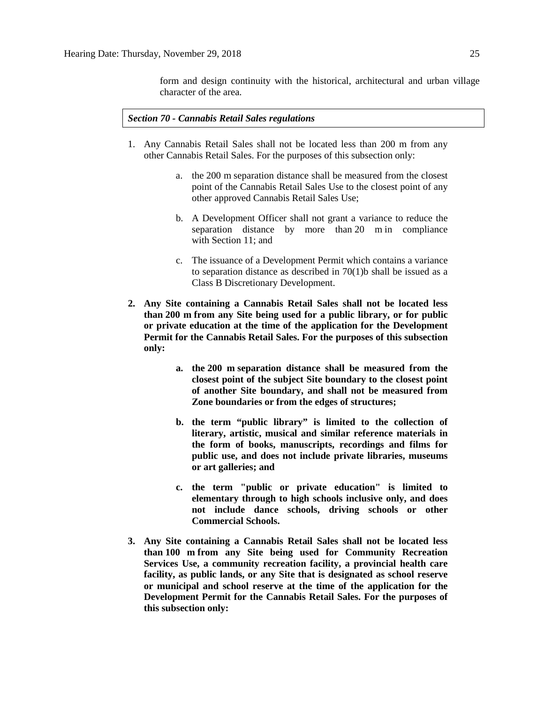form and design continuity with the historical, architectural and urban village character of the area.

*Section 70 - Cannabis Retail Sales regulations*

- 1. Any Cannabis Retail Sales shall not be located less than 200 m from any other Cannabis Retail Sales. For the purposes of this subsection only:
	- a. the [200 m](javascript:void(0);) separation distance shall be measured from the closest point of the Cannabis Retail Sales Use to the closest point of any other approved Cannabis Retail Sales Use;
	- b. A Development Officer shall not grant a variance to reduce the separation distance by more than [20 m](javascript:void(0);) in compliance with [Section 11;](https://webdocs.edmonton.ca/InfraPlan/zoningbylaw/ZoningBylaw/Part1/Administrative/11__Authority_and_Responsibility_of_the_Development_Officer.htm) and
	- c. The issuance of a Development Permit which contains a variance to separation distance as described in 70(1)b shall be issued as a Class B Discretionary Development.
- **2. Any Site containing a Cannabis Retail Sales shall not be located less than [200 m](javascript:void(0);) from any Site being used for a public library, or for public or private education at the time of the application for the Development Permit for the Cannabis Retail Sales. For the purposes of this subsection only:**
	- **a. the [200 m](javascript:void(0);) separation distance shall be measured from the closest point of the subject Site boundary to the closest point of another Site boundary, and shall not be measured from Zone boundaries or from the edges of structures;**
	- **b. the term "public library" is limited to the collection of literary, artistic, musical and similar reference materials in the form of books, manuscripts, recordings and films for public use, and does not include private libraries, museums or art galleries; and**
	- **c. the term "public or private education" is limited to elementary through to high schools inclusive only, and does not include dance schools, driving schools or other Commercial Schools.**
- **3. Any Site containing a Cannabis Retail Sales shall not be located less than [100 m](javascript:void(0);) from any Site being used for Community Recreation Services Use, a community recreation facility, a provincial health care facility, as public lands, or any Site that is designated as school reserve or municipal and school reserve at the time of the application for the Development Permit for the Cannabis Retail Sales. For the purposes of this subsection only:**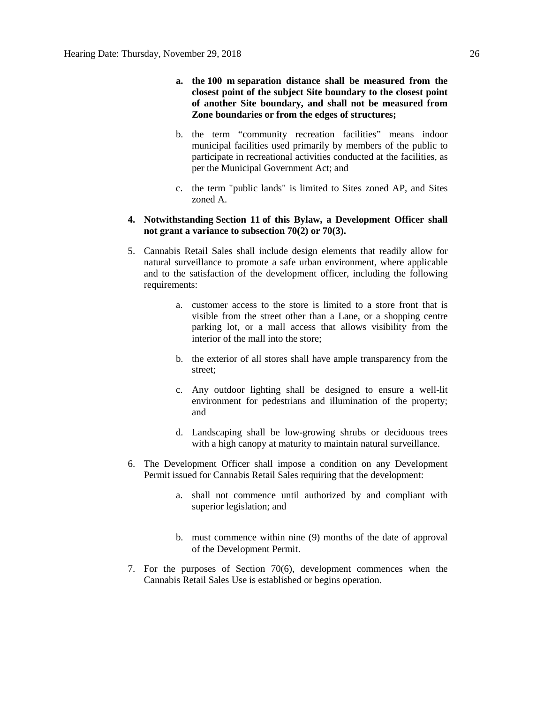- **a. the [100 m](javascript:void(0);) separation distance shall be measured from the closest point of the subject Site boundary to the closest point of another Site boundary, and shall not be measured from Zone boundaries or from the edges of structures;**
- b. the term "community recreation facilities" means indoor municipal facilities used primarily by members of the public to participate in recreational activities conducted at the facilities, as per the Municipal Government Act; and
- c. the term "public lands" is limited to Sites zoned AP, and Sites zoned A.

#### **4. Notwithstanding [Section 11](https://webdocs.edmonton.ca/InfraPlan/zoningbylaw/ZoningBylaw/Part1/Administrative/11__Authority_and_Responsibility_of_the_Development_Officer.htm) of this Bylaw, a Development Officer shall not grant a variance to subsection 70(2) or 70(3).**

- 5. Cannabis Retail Sales shall include design elements that readily allow for natural surveillance to promote a safe urban environment, where applicable and to the satisfaction of the development officer, including the following requirements:
	- a. customer access to the store is limited to a store front that is visible from the street other than a Lane, or a shopping centre parking lot, or a mall access that allows visibility from the interior of the mall into the store;
	- b. the exterior of all stores shall have ample transparency from the street;
	- c. Any outdoor lighting shall be designed to ensure a well-lit environment for pedestrians and illumination of the property; and
	- d. Landscaping shall be low-growing shrubs or deciduous trees with a high canopy at maturity to maintain natural surveillance.
- 6. The Development Officer shall impose a condition on any Development Permit issued for Cannabis Retail Sales requiring that the development:
	- a. shall not commence until authorized by and compliant with superior legislation; and
	- b. must commence within nine (9) months of the date of approval of the Development Permit.
- 7. For the purposes of Section 70(6), development commences when the Cannabis Retail Sales Use is established or begins operation.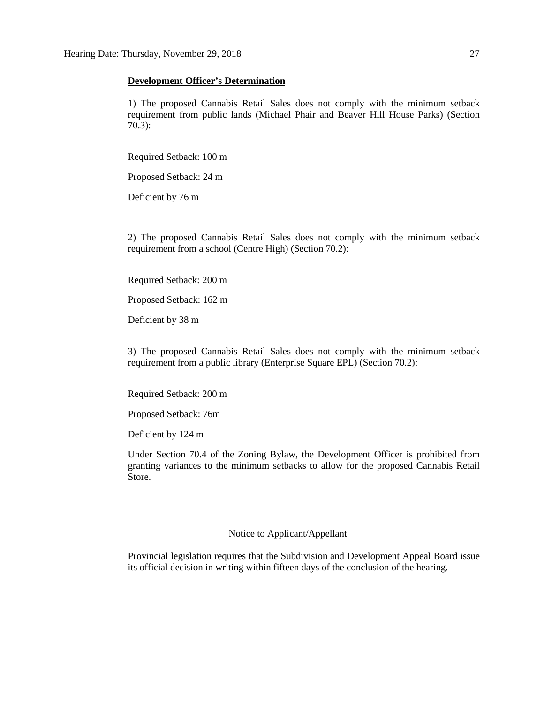#### **Development Officer's Determination**

1) The proposed Cannabis Retail Sales does not comply with the minimum setback requirement from public lands (Michael Phair and Beaver Hill House Parks) (Section 70.3):

Required Setback: 100 m

Proposed Setback: 24 m

Deficient by 76 m

2) The proposed Cannabis Retail Sales does not comply with the minimum setback requirement from a school (Centre High) (Section 70.2):

Required Setback: 200 m

Proposed Setback: 162 m

Deficient by 38 m

3) The proposed Cannabis Retail Sales does not comply with the minimum setback requirement from a public library (Enterprise Square EPL) (Section 70.2):

Required Setback: 200 m

Proposed Setback: 76m

Deficient by 124 m

Under Section 70.4 of the Zoning Bylaw, the Development Officer is prohibited from granting variances to the minimum setbacks to allow for the proposed Cannabis Retail Store.

Notice to Applicant/Appellant

Provincial legislation requires that the Subdivision and Development Appeal Board issue its official decision in writing within fifteen days of the conclusion of the hearing.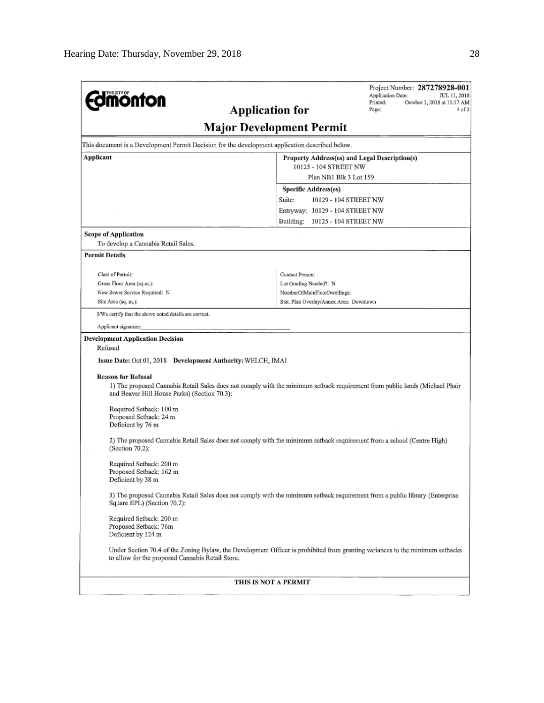|                                                                                                 | Project Number: 287278928-001<br>Application Date:<br>JUL 11, 2018                                                            |
|-------------------------------------------------------------------------------------------------|-------------------------------------------------------------------------------------------------------------------------------|
| <b><i><u><u><b>M</b>onton</u></u></i></b>                                                       | Printed:<br>October 1, 2018 at 11:17 AM                                                                                       |
| <b>Application for</b>                                                                          | Page:<br>1 of 2                                                                                                               |
|                                                                                                 | <b>Major Development Permit</b>                                                                                               |
| This document is a Development Permit Decision for the development application described below. |                                                                                                                               |
| Applicant                                                                                       | Property Address(es) and Legal Description(s)                                                                                 |
|                                                                                                 | 10125 - 104 STREET NW                                                                                                         |
|                                                                                                 | Plan NB1 Blk 3 Lot 159                                                                                                        |
|                                                                                                 | <b>Specific Address(es)</b>                                                                                                   |
|                                                                                                 | Suite:<br>10129 - 104 STREET NW                                                                                               |
|                                                                                                 | Entryway: 10129 - 104 STREET NW                                                                                               |
|                                                                                                 | Building:<br>10125 - 104 STREET NW                                                                                            |
| <b>Scope of Application</b>                                                                     |                                                                                                                               |
| To develop a Cannabis Retail Sales.                                                             |                                                                                                                               |
| <b>Permit Details</b>                                                                           |                                                                                                                               |
| Class of Permit:                                                                                | Contact Person:                                                                                                               |
| Gross Floor Area (sq.m.):                                                                       | Lot Grading Needed?: N                                                                                                        |
| New Sewer Service Required: N                                                                   | NumberOfMainFloorDwellings:                                                                                                   |
| Site Area (sq. m.):                                                                             | Stat, Plan Overlay/Annex Area; Downtown                                                                                       |
| I/We certify that the above noted details are correct.                                          |                                                                                                                               |
| Applicant signature:                                                                            |                                                                                                                               |
| <b>Development Application Decision</b>                                                         |                                                                                                                               |
| Refused                                                                                         |                                                                                                                               |
| Issue Date: Oct 01, 2018 Development Authority: WELCH, IMAI                                     |                                                                                                                               |
|                                                                                                 |                                                                                                                               |
| <b>Reason for Refusal</b>                                                                       |                                                                                                                               |
| and Beaver Hill House Parks) (Section 70.3):                                                    | 1) The proposed Cannabis Retail Sales does not comply with the minimum setback requirement from public lands (Michael Phair   |
| Required Setback: 100 m                                                                         |                                                                                                                               |
| Proposed Setback: 24 m                                                                          |                                                                                                                               |
| Deficient by 76 m                                                                               |                                                                                                                               |
| (Section 70.2):                                                                                 | 2) The proposed Cannabis Retail Sales does not comply with the minimum setback requirement from a school (Centre High)        |
| Required Setback: 200 m                                                                         |                                                                                                                               |
| Proposed Setback: 162 m                                                                         |                                                                                                                               |
| Deficient by 38 m                                                                               |                                                                                                                               |
| Square EPL) (Section 70.2):                                                                     | 3) The proposed Cannabis Retail Sales does not comply with the minimum setback requirement from a public library (Enterprise  |
| Required Setback: 200 m                                                                         |                                                                                                                               |
| Proposed Setback: 76m                                                                           |                                                                                                                               |
| Deficient by 124 m                                                                              |                                                                                                                               |
| to allow for the proposed Cannabis Retail Store.                                                | Under Section 70.4 of the Zoning Bylaw, the Development Officer is prohibited from granting variances to the minimum setbacks |
| THIS IS NOT A PERMIT                                                                            |                                                                                                                               |
|                                                                                                 |                                                                                                                               |
|                                                                                                 |                                                                                                                               |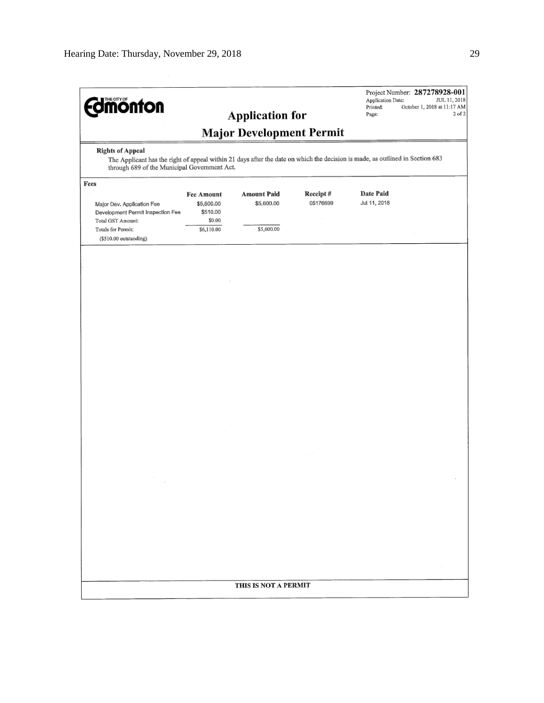| <b>dimonton</b>                                                                                                                                                                             |                                                              | <b>Application for</b>                         |                      | Application Date:<br>Printed:<br>Page: | Project Number: 287278928-001<br>JUL 11, 2018<br>October 1, 2018 at 11:17 AM<br>$2$ of $2$ |
|---------------------------------------------------------------------------------------------------------------------------------------------------------------------------------------------|--------------------------------------------------------------|------------------------------------------------|----------------------|----------------------------------------|--------------------------------------------------------------------------------------------|
| <b>Major Development Permit</b><br><b>Rights of Appeal</b><br>The Applicant has the right of appeal within 21 days after the date on which the decision is made, as outlined in Section 683 |                                                              |                                                |                      |                                        |                                                                                            |
| through 689 of the Municipal Government Act.<br>Fees<br>Major Dev. Application Fee<br>Development Permit Inspection Fee<br>Total GST Amount:<br>Totals for Permit:                          | Fee Amount<br>\$5,600.00<br>\$510.00<br>\$0.00<br>\$6,110.00 | <b>Amount Paid</b><br>\$5,600.00<br>\$5,600.00 | Receipt#<br>05176699 | Date Paid<br>Jul 11, 2018              |                                                                                            |
| (\$510.00 outstanding)                                                                                                                                                                      |                                                              |                                                |                      |                                        |                                                                                            |
|                                                                                                                                                                                             |                                                              |                                                |                      |                                        |                                                                                            |
|                                                                                                                                                                                             |                                                              |                                                |                      |                                        |                                                                                            |
|                                                                                                                                                                                             |                                                              |                                                |                      |                                        |                                                                                            |
|                                                                                                                                                                                             |                                                              |                                                |                      |                                        |                                                                                            |
|                                                                                                                                                                                             |                                                              |                                                |                      |                                        |                                                                                            |
|                                                                                                                                                                                             |                                                              |                                                |                      |                                        |                                                                                            |
|                                                                                                                                                                                             |                                                              |                                                |                      |                                        |                                                                                            |
|                                                                                                                                                                                             |                                                              |                                                |                      |                                        |                                                                                            |
|                                                                                                                                                                                             |                                                              |                                                |                      |                                        |                                                                                            |
|                                                                                                                                                                                             |                                                              |                                                |                      |                                        |                                                                                            |
|                                                                                                                                                                                             |                                                              |                                                |                      |                                        |                                                                                            |
|                                                                                                                                                                                             |                                                              |                                                |                      |                                        |                                                                                            |
|                                                                                                                                                                                             |                                                              |                                                |                      |                                        |                                                                                            |
|                                                                                                                                                                                             |                                                              |                                                |                      |                                        |                                                                                            |
|                                                                                                                                                                                             |                                                              |                                                |                      |                                        |                                                                                            |
|                                                                                                                                                                                             |                                                              | THIS IS NOT A PERMIT                           |                      |                                        |                                                                                            |